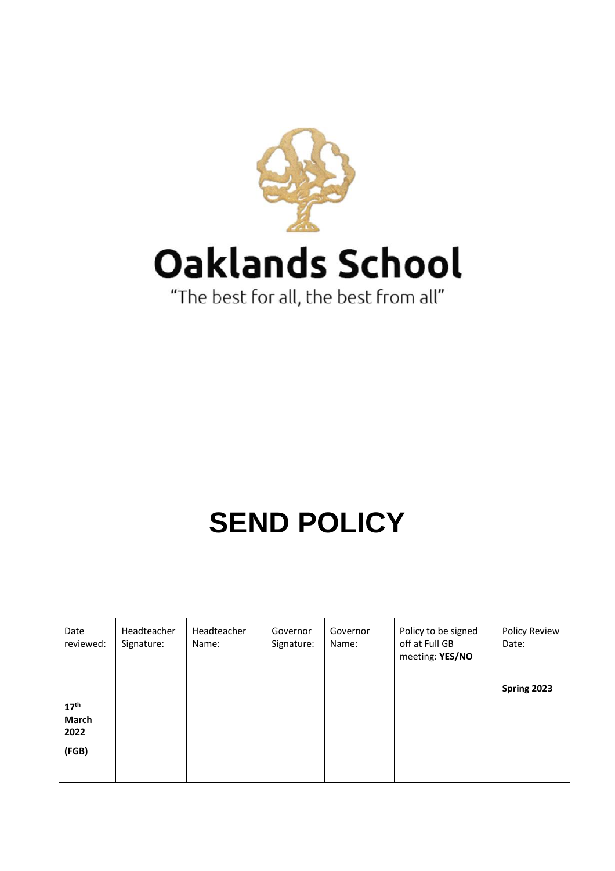

# Oaklands School

"The best for all, the best from all"

# **SEND POLICY**

| Date<br>reviewed:                          | Headteacher<br>Signature: | Headteacher<br>Name: | Governor<br>Signature: | Governor<br>Name: | Policy to be signed<br>off at Full GB<br>meeting: YES/NO | Policy Review<br>Date: |
|--------------------------------------------|---------------------------|----------------------|------------------------|-------------------|----------------------------------------------------------|------------------------|
| 17 <sup>th</sup><br>March<br>2022<br>(FGB) |                           |                      |                        |                   |                                                          | Spring 2023            |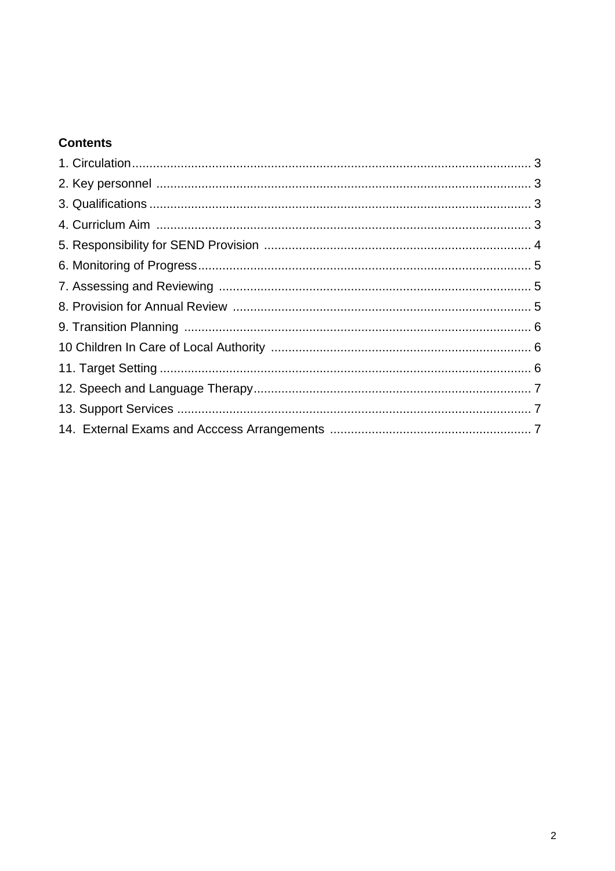# **Contents**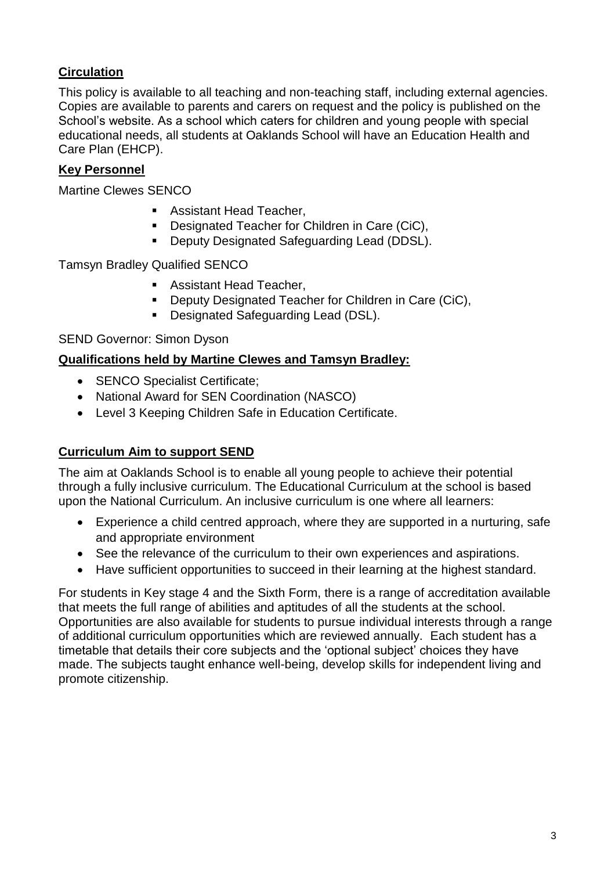# **Circulation**

This policy is available to all teaching and non-teaching staff, including external agencies. Copies are available to parents and carers on request and the policy is published on the School's website. As a school which caters for children and young people with special educational needs, all students at Oaklands School will have an Education Health and Care Plan (EHCP).

#### **Key Personnel**

Martine Clewes SENCO

- **Assistant Head Teacher,**
- **Designated Teacher for Children in Care (CiC),**
- **Deputy Designated Safeguarding Lead (DDSL).**

Tamsyn Bradley Qualified SENCO

- **Assistant Head Teacher,**
- **Deputy Designated Teacher for Children in Care (CiC),**
- **Designated Safeguarding Lead (DSL).**

#### SEND Governor: Simon Dyson

#### **Qualifications held by Martine Clewes and Tamsyn Bradley:**

- SENCO Specialist Certificate;
- National Award for SEN Coordination (NASCO)
- Level 3 Keeping Children Safe in Education Certificate.

#### **Curriculum Aim to support SEND**

The aim at Oaklands School is to enable all young people to achieve their potential through a fully inclusive curriculum. The Educational Curriculum at the school is based upon the National Curriculum. An inclusive curriculum is one where all learners:

- Experience a child centred approach, where they are supported in a nurturing, safe and appropriate environment
- See the relevance of the curriculum to their own experiences and aspirations.
- Have sufficient opportunities to succeed in their learning at the highest standard.

For students in Key stage 4 and the Sixth Form, there is a range of accreditation available that meets the full range of abilities and aptitudes of all the students at the school. Opportunities are also available for students to pursue individual interests through a range of additional curriculum opportunities which are reviewed annually. Each student has a timetable that details their core subjects and the 'optional subject' choices they have made. The subjects taught enhance well-being, develop skills for independent living and promote citizenship.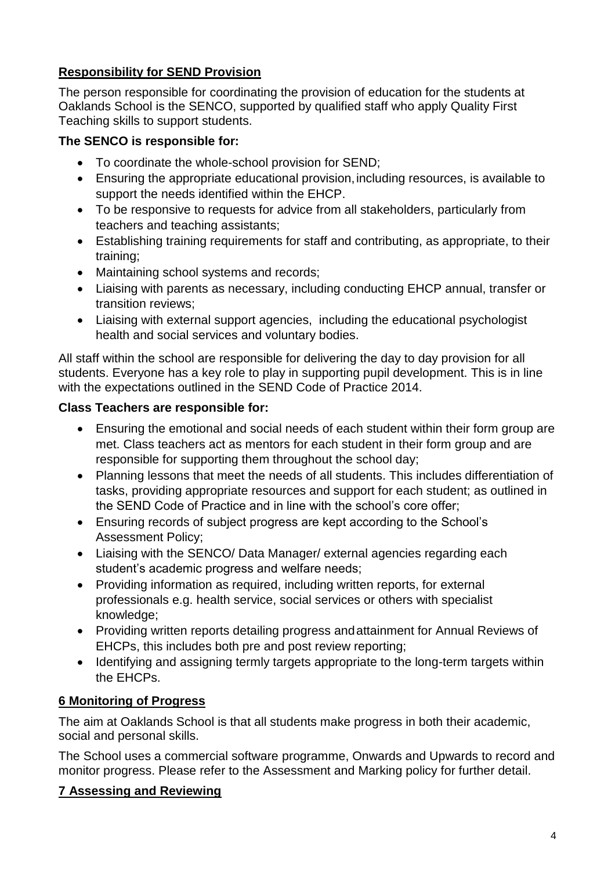# **Responsibility for SEND Provision**

The person responsible for coordinating the provision of education for the students at Oaklands School is the SENCO, supported by qualified staff who apply Quality First Teaching skills to support students.

#### **The SENCO is responsible for:**

- To coordinate the whole-school provision for SEND;
- Ensuring the appropriate educational provision,including resources, is available to support the needs identified within the EHCP.
- To be responsive to requests for advice from all stakeholders, particularly from teachers and teaching assistants;
- Establishing training requirements for staff and contributing, as appropriate, to their training;
- Maintaining school systems and records;
- Liaising with parents as necessary, including conducting EHCP annual, transfer or transition reviews;
- Liaising with external support agencies, including the educational psychologist health and social services and voluntary bodies.

All staff within the school are responsible for delivering the day to day provision for all students. Everyone has a key role to play in supporting pupil development. This is in line with the expectations outlined in the SEND Code of Practice 2014.

#### **Class Teachers are responsible for:**

- Ensuring the emotional and social needs of each student within their form group are met. Class teachers act as mentors for each student in their form group and are responsible for supporting them throughout the school day;
- Planning lessons that meet the needs of all students. This includes differentiation of tasks, providing appropriate resources and support for each student; as outlined in the SEND Code of Practice and in line with the school's core offer;
- Ensuring records of subject progress are kept according to the School's Assessment Policy;
- Liaising with the SENCO/ Data Manager/ external agencies regarding each student's academic progress and welfare needs;
- Providing information as required, including written reports, for external professionals e.g. health service, social services or others with specialist knowledge;
- Providing written reports detailing progress andattainment for Annual Reviews of EHCPs, this includes both pre and post review reporting;
- Identifying and assigning termly targets appropriate to the long-term targets within the EHCPs.

#### **6 Monitoring of Progress**

The aim at Oaklands School is that all students make progress in both their academic, social and personal skills.

The School uses a commercial software programme, Onwards and Upwards to record and monitor progress. Please refer to the Assessment and Marking policy for further detail.

#### **7 Assessing and Reviewing**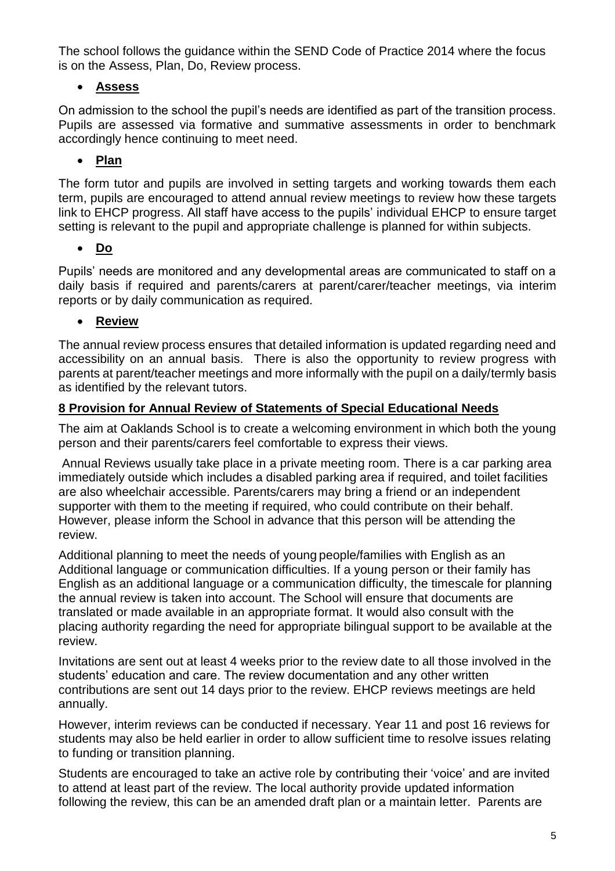The school follows the guidance within the SEND Code of Practice 2014 where the focus is on the Assess, Plan, Do, Review process.

# **Assess**

On admission to the school the pupil's needs are identified as part of the transition process. Pupils are assessed via formative and summative assessments in order to benchmark accordingly hence continuing to meet need.

# **Plan**

The form tutor and pupils are involved in setting targets and working towards them each term, pupils are encouraged to attend annual review meetings to review how these targets link to EHCP progress. All staff have access to the pupils' individual EHCP to ensure target setting is relevant to the pupil and appropriate challenge is planned for within subjects.

#### **Do**

Pupils' needs are monitored and any developmental areas are communicated to staff on a daily basis if required and parents/carers at parent/carer/teacher meetings, via interim reports or by daily communication as required.

#### **Review**

The annual review process ensures that detailed information is updated regarding need and accessibility on an annual basis. There is also the opportunity to review progress with parents at parent/teacher meetings and more informally with the pupil on a daily/termly basis as identified by the relevant tutors.

#### **8 Provision for Annual Review of Statements of Special Educational Needs**

The aim at Oaklands School is to create a welcoming environment in which both the young person and their parents/carers feel comfortable to express their views.

Annual Reviews usually take place in a private meeting room. There is a car parking area immediately outside which includes a disabled parking area if required, and toilet facilities are also wheelchair accessible. Parents/carers may bring a friend or an independent supporter with them to the meeting if required, who could contribute on their behalf. However, please inform the School in advance that this person will be attending the review.

Additional planning to meet the needs of young people/families with English as an Additional language or communication difficulties. If a young person or their family has English as an additional language or a communication difficulty, the timescale for planning the annual review is taken into account. The School will ensure that documents are translated or made available in an appropriate format. It would also consult with the placing authority regarding the need for appropriate bilingual support to be available at the review.

Invitations are sent out at least 4 weeks prior to the review date to all those involved in the students' education and care. The review documentation and any other written contributions are sent out 14 days prior to the review. EHCP reviews meetings are held annually.

However, interim reviews can be conducted if necessary. Year 11 and post 16 reviews for students may also be held earlier in order to allow sufficient time to resolve issues relating to funding or transition planning.

Students are encouraged to take an active role by contributing their 'voice' and are invited to attend at least part of the review. The local authority provide updated information following the review, this can be an amended draft plan or a maintain letter. Parents are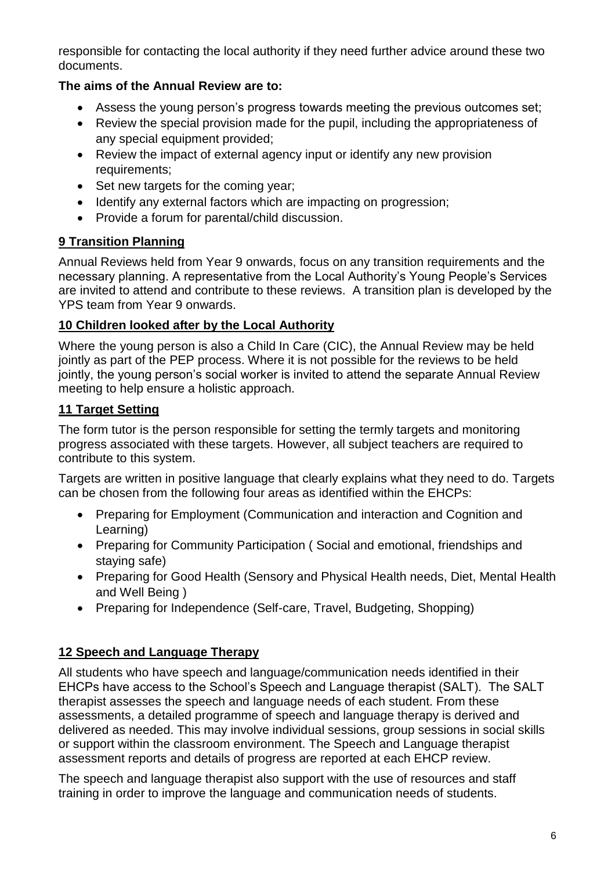responsible for contacting the local authority if they need further advice around these two documents.

# **The aims of the Annual Review are to:**

- Assess the young person's progress towards meeting the previous outcomes set;
- Review the special provision made for the pupil, including the appropriateness of any special equipment provided;
- Review the impact of external agency input or identify any new provision requirements;
- Set new targets for the coming year;
- Identify any external factors which are impacting on progression;
- Provide a forum for parental/child discussion.

# **9 Transition Planning**

Annual Reviews held from Year 9 onwards, focus on any transition requirements and the necessary planning. A representative from the Local Authority's Young People's Services are invited to attend and contribute to these reviews. A transition plan is developed by the YPS team from Year 9 onwards.

#### **10 Children looked after by the Local Authority**

Where the young person is also a Child In Care (CIC), the Annual Review may be held jointly as part of the PEP process. Where it is not possible for the reviews to be held jointly, the young person's social worker is invited to attend the separate Annual Review meeting to help ensure a holistic approach.

# **11 Target Setting**

The form tutor is the person responsible for setting the termly targets and monitoring progress associated with these targets. However, all subject teachers are required to contribute to this system.

Targets are written in positive language that clearly explains what they need to do. Targets can be chosen from the following four areas as identified within the EHCPs:

- Preparing for Employment (Communication and interaction and Cognition and Learning)
- Preparing for Community Participation (Social and emotional, friendships and staying safe)
- Preparing for Good Health (Sensory and Physical Health needs, Diet, Mental Health and Well Being )
- Preparing for Independence (Self-care, Travel, Budgeting, Shopping)

# **12 Speech and Language Therapy**

All students who have speech and language/communication needs identified in their EHCPs have access to the School's Speech and Language therapist (SALT). The SALT therapist assesses the speech and language needs of each student. From these assessments, a detailed programme of speech and language therapy is derived and delivered as needed. This may involve individual sessions, group sessions in social skills or support within the classroom environment. The Speech and Language therapist assessment reports and details of progress are reported at each EHCP review.

The speech and language therapist also support with the use of resources and staff training in order to improve the language and communication needs of students.